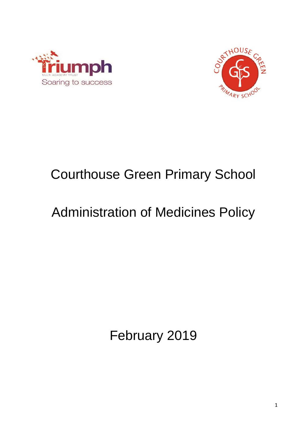



# Courthouse Green Primary School

# Administration of Medicines Policy

February 2019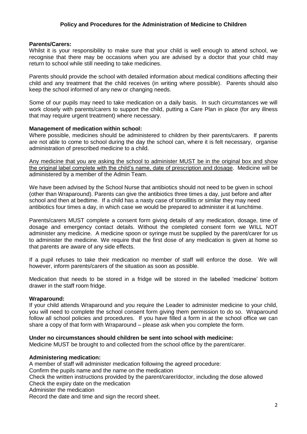## **Policy and Procedures for the Administration of Medicine to Children**

### **Parents/Carers:**

Whilst it is your responsibility to make sure that your child is well enough to attend school, we recognise that there may be occasions when you are advised by a doctor that your child may return to school while still needing to take medicines.

Parents should provide the school with detailed information about medical conditions affecting their child and any treatment that the child receives (in writing where possible). Parents should also keep the school informed of any new or changing needs.

Some of our pupils may need to take medication on a daily basis. In such circumstances we will work closely with parents/carers to support the child, putting a Care Plan in place (for any illness that may require urgent treatment) where necessary.

#### **Management of medication within school:**

Where possible, medicines should be administered to children by their parents/carers. If parents are not able to come to school during the day the school can, where it is felt necessary, organise administration of prescribed medicine to a child.

Any medicine that you are asking the school to administer MUST be in the original box and show the original label complete with the child's name, date of prescription and dosage. Medicine will be administered by a member of the Admin Team.

We have been advised by the School Nurse that antibiotics should not need to be given in school (other than Wraparound). Parents can give the antibiotics three times a day, just before and after school and then at bedtime. If a child has a nasty case of tonsillitis or similar they may need antibiotics four times a day, in which case we would be prepared to administer it at lunchtime.

Parents/carers MUST complete a consent form giving details of any medication, dosage, time of dosage and emergency contact details. Without the completed consent form we WILL NOT administer any medicine. A medicine spoon or syringe must be supplied by the parent/carer for us to administer the medicine. We require that the first dose of any medication is given at home so that parents are aware of any side effects.

If a pupil refuses to take their medication no member of staff will enforce the dose. We will however, inform parents/carers of the situation as soon as possible.

Medication that needs to be stored in a fridge will be stored in the labelled 'medicine' bottom drawer in the staff room fridge.

#### **Wraparound:**

If your child attends Wraparound and you require the Leader to administer medicine to your child, you will need to complete the school consent form giving them permission to do so. Wraparound follow all school policies and procedures. If you have filled a form in at the school office we can share a copy of that form with Wraparound – please ask when you complete the form.

#### **Under no circumstances should children be sent into school with medicine:**

Medicine MUST be brought to and collected from the school office by the parent/carer.

#### **Administering medication:**

A member of staff will administer medication following the agreed procedure: Confirm the pupils name and the name on the medication Check the written instructions provided by the parent/carer/doctor, including the dose allowed Check the expiry date on the medication Administer the medication Record the date and time and sign the record sheet.